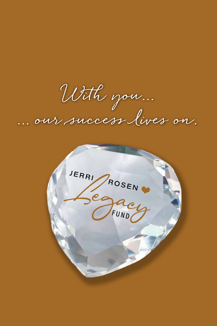**With you... ... our success lives on.**

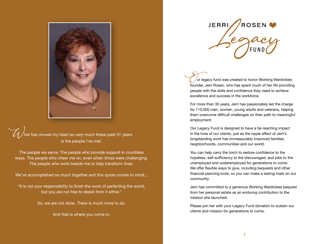

/<br>hat has moved my heart so very much these past 31 years is the people I've met.

The people we serve. The people who provide support in countless ways. The people who cheer me on, even when times were challenging. The people who work beside me to help transform lives.

We've accomplished so much together and this quote comes to mind...

"It is not your responsibility to finish the work of perfecting the world, but you are not free to desist from it either."

So, we are not done. There is much more to do.

And that is where you come in.

**JERRI ROSEN** 

 $\sqrt{u}$ r legacy fund was created to honor Working Wardrobes founder, Jerri Rosen, who has spent much of her life providing people with the skills and confidence they need to achieve excellence and success in the workforce.

For more than 30 years, Jerri has passionately led the charge for 110,000 men, women, young adults and veterans, helping them overcome difficult challenges on their path to meaningful employment.

Our Legacy Fund is designed to have a far-reaching impact in the lives of our clients, just as the ripple effect of Jerri's longstanding work has immeasurably improved families, neighborhoods, communities and our world.

You can help carry the torch to restore confidence to the hopeless, self-sufficiency to the discouraged, and jobs to the unemployed and underemployed for generations to come. We offer flexible ways to give, including bequests and other financial planning tools, so you can make a lasting mark on our community.

Jerri has committed to a generous Working Wardrobes bequest from her personal estate as an enduring contribution to the mission she launched.

Please join her with your Legacy Fund donation to sustain our clients and mission for generations to come.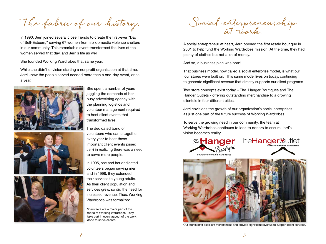**The fabric of our history.** 

In 1990, Jerri joined several close friends to create the first-ever "Day of Self-Esteem," serving 67 women from six domestic violence shelters in our community. This remarkable event transformed the lives of the women served that day, and Jerri's life as well.

She founded Working Wardrobes that same year.

While she didn't envision starting a nonprofit organization at that time, Jerri knew the people served needed more than a one-day event, once a year.







She spent a number of years juggling the demands of her busy advertising agency with the planning logistics and volunteer management required to host client events that transformed lives.

The dedicated band of volunteers who came together every year to host these important client events joined Jerri in realizing there was a need to serve more people.

In 1995, she and her dedicated volunteers began serving men and in 1998, they extended their services to young adults. As their client population and services grew, so did the need for increased revenue. Thus, Working Wardrobes was formalized.

Volunteers are a major part of the fabric of Working Wardrobes. They take part in every aspect of the work done to serve clients.

**Social enterpreneurship at work.**

A social entrepreneur at heart, Jerri opened the first resale boutique in 2001 to help fund the Working Wardrobes mission. At the time, they had plenty of clothes but not a lot of money.

And so, a business plan was born!

That business model, now called a social enterprise model, is what our four stores were built on. This same model lives on today, continuing to generate significant revenue that directly supports our client programs.

Two store concepts exist today – The Hanger Boutiques and The Hanger Outlets - offering outstanding merchandise to a growing clientele in four different cities.

Jerri envisions the growth of our organization's social enterprises as just one part of the future success of Working Wardrobes.

To serve the growing need in our community, the team at Working Wardrobes continues to look to donors to ensure Jerri's vision becomes reality.





Our stores offer excellent merchandise and provide significant revenue to support client services.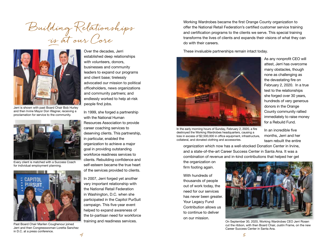**Building Relationships is at our Core**



Jerri is shown with past Board Chair Bob Hurley and then Irvine Mayor Don Wagner, receiving a proclamation for service to the community.



Every client is matched with a Success Coach for individual employment planning.



Past Board Chair Marilen Coughenour joined Jerri and then Congresswoman Loretta Sanchez in D.C. at a press conference.

Over the decades, Jerri established deep relationships with volunteers, donors, businesses and community leaders to expand our programs and client base; tirelessly advocated our mission to political officeholders, news organizations and community partners; and endlessly worked to help at-risk people find jobs.

In 1999, she forged a partnership with the National Human Resources Association to provide career coaching services to deserving clients. This partnership, in particular, enabled the organization to achieve a major goal in providing outstanding workforce readiness services to clients. Rebuilding confidence and self-esteem became the true heart of the services provided to clients.

In 2007, Jerri forged yet another very important relationship with the National Retail Federation in Washington, D.C. when she participated in the Capitol PurSuit campaign. This five-year event helped to expand awareness of the bi-partisan need for workforce training and readiness services.

Working Wardrobes became the first Orange County organization to offer the National Retail Federation's certified customer service training and certification programs to the clients we serve. This special training transforms the lives of clients and expands their visions of what they can do with their careers.

These invaluable partnerships remain intact today.



In the early morning hours of Sunday, February 2, 2020, a fire destroyed the Working Wardrobes headquarters, causing a loss in excess of \$2,500,000 in office equipment, infrastructure, collateral, and donated clothing and accessories.

As any nonprofit CEO will attest, Jerri has overcome many obstacles, though none as challenging as the devastating fire on February 2, 2020. In a true test to the relationships she forged over 30 years, hundreds of very generous donors in the Orange County community rallied immediately to raise money for a Rebuild Fund.

In an incredible five months, Jerri and her team rebuilt the entire

organization which now has a well-stocked Donation Center in Irvine, and a state-of-the-art Career Success Center in Santa Ana. It was a combination of revenue and in-kind contributions that helped her get

the organization on firm footing again.

With hundreds of thousands of people out of work today, the need for our services has never been greater. Your Legacy Fund Contribution allows us to continue to deliver on our mission.



On September 30, 2020, Working Wardrobes CEO Jerri Rosen cut the ribbon, with then Board Chair, Justin Frame, on the new Career Success Center in Santa Ana.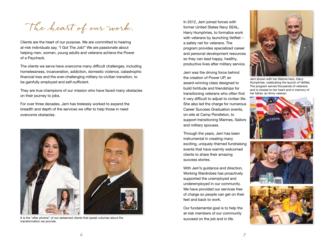**The heart of our work.**

Clients are the heart of our purpose. We are committed to hearing at-risk individuals say, "I Got The Job!" We are passionate about helping men, women, young adults and veterans achieve the Power of a Paycheck.

The clients we serve have overcome many difficult challenges, including homelessness, incarceration, addiction, domestic violence, catastrophic financial loss and the ever-challenging military-to-civilian transition, to be gainfully employed and self-sufficient.

They are true champions of our mission who have faced many obstacles on their journey to jobs.

For over three decades, Jerri has tirelessly worked to expand the breadth and depth of the services we offer to help those in need overcome obstacles.



It is the "after photos" of our esteemed clients that speak volumes about the succeed on the job and in life. transformation we provide.

In 2012, Jerri joined forces with former United States Navy SEAL, Harry Humphries, to formalize work with veterans by launching VetNet – a safety net for veterans. The program provides specialized career and personal development resources so they can lead happy, healthy, productive lives after military service.

Jerri was the driving force behind the creation of Power UP, an award-winning class designed to build fortitude and friendships for transitioning veterans who often find it very difficult to adjust to civilian life. She also led the charge for numerous Career Success Graduation events, on-site at Camp Pendleton, to support transitioning Marines, Sailors and military spouses.

Through the years, Jerri has been instrumental in creating many exciting, uniquely-themed fundraising events that have warmly welcomed clients to share their amazing success stories.

With Jerri's guidance and direction, Working Wardrobes has proactively supported the unemployed and underemployed in our community. We have provided our services free of charge so people can get on their feet and back to work.

Our fundamental goal is to help the at-risk members of our community



Jerri shown with her lifetime hero, Harry Humphries, celebrating the launch of VetNet. The program serves thousands of veterans and is closest to her heart and in memory of her father, an Army veteran.





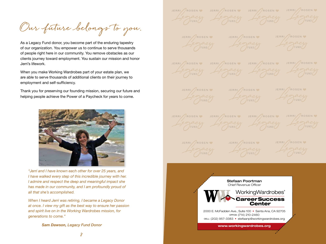**Our future belongs to you.**

As a Legacy Fund donor, you become part of the enduring tapestry of our organization. You empower us to continue to serve thousands of people right here in our community. You remove obstacles as our clients journey toward employment. You sustain our mission and honor Jerri's lifework.

When you make Working Wardrobes part of your estate plan, we are able to serve thousands of additional clients on their journey to employment and self-sufficiency.

Thank you for preserving our founding mission, securing our future and helping people achieve the Power of a Paycheck for years to come.



*"Jerri and I have known each other for over 25 years, and I have walked every step of this incredible journey with her. I admire and respect the deep and meaningful impact she has made in our community, and I am profoundly proud of all that she's accomplished.* 

*When I heard Jerri was retiring, I became a Legacy Donor at once. I view my gift as the best way to ensure her passion and spirit live on in the Working Wardrobes mission, for generations to come."* 

*Sam Dawson, Legacy Fund Donor*

JERRI ROSEN JERRI ROSEN JERRI ROSEN JERRI ROSEN Segacy Legacy Legacy Legacy JERRI / ROSEN V JERRI / ROSEN V JERRI / ROSEN V JERRI / ROSEN W JERRI / ROSEN W JERRI / ROSEN W JERRI / ROSEN W JERRI / ROSEN W JERRI / ROSEN W JERRI ROSEN JERRI ROSEN JERRI ROSEN JERRI ROSEN Legacy Legacy Legacy Legacy JERRI / ROSEN V JERRI / ROSEN V JERRI / ROSEN V Stefaan Poortman Chief Revenue Officer WorkingWardrobes® CareerSuccess **Center** 2000 E. McFadden Ave., Suite 100 • Santa Ana, CA 92705 OFFICE: (714) 210-2460 CELL: (202) 957-3383 • stefaanp@workingwardrobes.org **www.workingwardrobes.org**